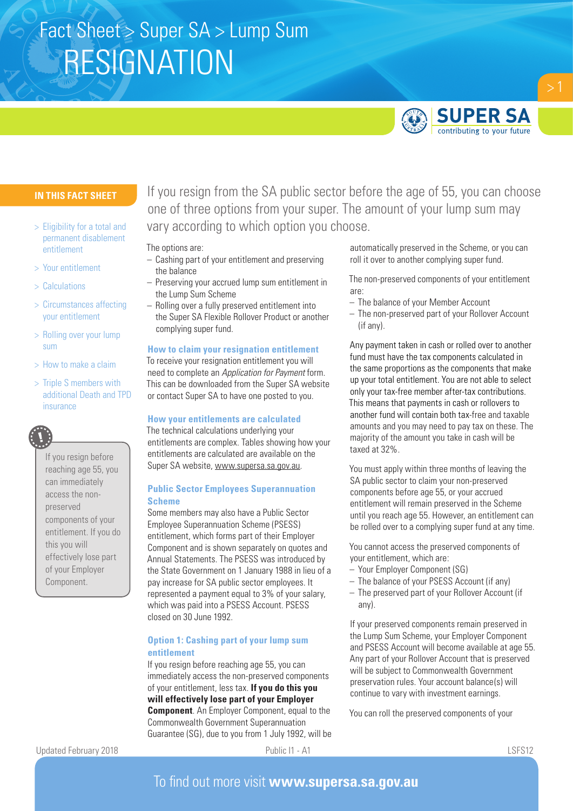# RESIGNATION Fact Sheet > Super SA > Lump Sum



## **IN THIS FACT SHEET**

- > Eligibility for a total and permanent disablement entitlement
- > Your entitlement
- > Calculations
- > Circumstances affecting your entitlement
- > Rolling over your lump sum
- > How to make a claim
- > Triple S members with additional Death and TPD insurance



## Updated February 2018 **Public I1 - A1** Public I1 - A1 LSFS12

If you resign from the SA public sector before the age of 55, you can choose one of three options from your super. The amount of your lump sum may vary according to which option you choose.

The options are:

- Cashing part of your entitlement and preserving the balance
- Preserving your accrued lump sum entitlement in the Lump Sum Scheme
- Rolling over a fully preserved entitlement into the Super SA Flexible Rollover Product or another complying super fund.

#### **How to claim your resignation entitlement**

To receive your resignation entitlement you will need to complete an *Application for Payment* form. This can be downloaded from the Super SA website or contact Super SA to have one posted to you.

#### **How your entitlements are calculated**

The technical calculations underlying your entitlements are complex. Tables showing how your entitlements are calculated are available on the Super SA website, www.supersa.sa.gov.au.

### **Public Sector Employees Superannuation Scheme**

Some members may also have a Public Sector Employee Superannuation Scheme (PSESS) entitlement, which forms part of their Employer Component and is shown separately on quotes and Annual Statements. The PSESS was introduced by the State Government on 1 January 1988 in lieu of a pay increase for SA public sector employees. It represented a payment equal to 3% of your salary, which was paid into a PSESS Account. PSESS closed on 30 June 1992.

## **Option 1: Cashing part of your lump sum entitlement**

If you resign before reaching age 55, you can immediately access the non-preserved components of your entitlement, less tax. **If you do this you will effectively lose part of your Employer Component**. An Employer Component, equal to the Commonwealth Government Superannuation Guarantee (SG), due to you from 1 July 1992, will be automatically preserved in the Scheme, or you can roll it over to another complying super fund.

The non-preserved components of your entitlement are:

- The balance of your Member Account
- The non-preserved part of your Rollover Account (if any).

Any payment taken in cash or rolled over to another fund must have the tax components calculated in the same proportions as the components that make up your total entitlement. You are not able to select only your tax-free member after-tax contributions. This means that payments in cash or rollovers to another fund will contain both tax-free and taxable amounts and you may need to pay tax on these. The majority of the amount you take in cash will be taxed at 32%.

You must apply within three months of leaving the SA public sector to claim your non-preserved components before age 55, or your accrued entitlement will remain preserved in the Scheme until you reach age 55. However, an entitlement can be rolled over to a complying super fund at any time.

You cannot access the preserved components of your entitlement, which are:

- Your Employer Component (SG)
- The balance of your PSESS Account (if any)
- The preserved part of your Rollover Account (if any).

If your preserved components remain preserved in the Lump Sum Scheme, your Employer Component and PSESS Account will become available at age 55. Any part of your Rollover Account that is preserved will be subject to Commonwealth Government preservation rules. Your account balance(s) will continue to vary with investment earnings.

You can roll the preserved components of your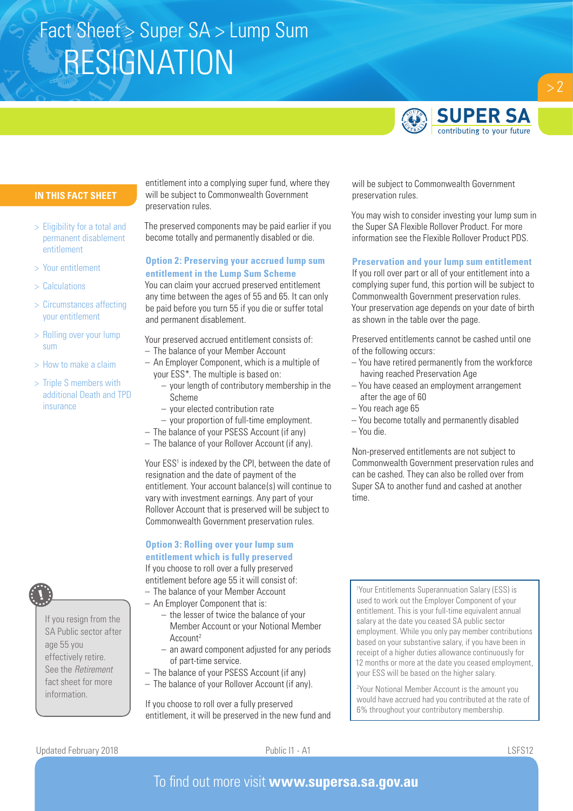# RESIGNATION Fact Sheet > Super SA > Lump Sum



 $> 2$ 

## **IN THIS FACT SHEET**

- > Eligibility for a total and permanent disablement entitlement
- > Your entitlement
- > Calculations
- > Circumstances affecting your entitlement
- > Rolling over your lump sum
- > How to make a claim
- > Triple S members with additional Death and TPD insurance

If you resign from the SA Public sector after age 55 you effectively retire. See the *Retirement* fact sheet for more information.

entitlement into a complying super fund, where they will be subject to Commonwealth Government preservation rules.

The preserved components may be paid earlier if you become totally and permanently disabled or die.

## **Option 2: Preserving your accrued lump sum entitlement in the Lump Sum Scheme**

You can claim your accrued preserved entitlement any time between the ages of 55 and 65. It can only be paid before you turn 55 if you die or suffer total and permanent disablement.

Your preserved accrued entitlement consists of:

- The balance of your Member Account
- An Employer Component, which is a multiple of your ESS\*. The multiple is based on:
	- your length of contributory membership in the Scheme
	- your elected contribution rate
- your proportion of full-time employment.
- The balance of your PSESS Account (if any)
- The balance of your Rollover Account (if any).

Your ESS<sup>1</sup> is indexed by the CPI, between the date of resignation and the date of payment of the entitlement. Your account balance(s) will continue to vary with investment earnings. Any part of your Rollover Account that is preserved will be subject to Commonwealth Government preservation rules.

## **Option 3: Rolling over your lump sum entitlement which is fully preserved** If you choose to roll over a fully preserved

entitlement before age 55 it will consist of: – The balance of your Member Account

- An Employer Component that is:
	-
	- the lesser of twice the balance of your Member Account or your Notional Member Account2
	- an award component adjusted for any periods of part-time service.
- The balance of your PSESS Account (if any)
- The balance of your Rollover Account (if any).

If you choose to roll over a fully preserved entitlement, it will be preserved in the new fund and will be subject to Commonwealth Government preservation rules.

You may wish to consider investing your lump sum in the Super SA Flexible Rollover Product. For more information see the Flexible Rollover Product PDS.

#### **Preservation and your lump sum entitlement**

If you roll over part or all of your entitlement into a complying super fund, this portion will be subject to Commonwealth Government preservation rules. Your preservation age depends on your date of birth as shown in the table over the page.

Preserved entitlements cannot be cashed until one of the following occurs:

- You have retired permanently from the workforce having reached Preservation Age
- You have ceased an employment arrangement after the age of 60
- You reach age 65
- You become totally and permanently disabled
- You die.

Non-preserved entitlements are not subject to Commonwealth Government preservation rules and can be cashed. They can also be rolled over from Super SA to another fund and cashed at another time.

1 Your Entitlements Superannuation Salary (ESS) is used to work out the Employer Component of your entitlement. This is your full-time equivalent annual salary at the date you ceased SA public sector employment. While you only pay member contributions based on your substantive salary, if you have been in receipt of a higher duties allowance continuously for 12 months or more at the date you ceased employment, your ESS will be based on the higher salary.

2 Your Notional Member Account is the amount you would have accrued had you contributed at the rate of 6% throughout your contributory membership.